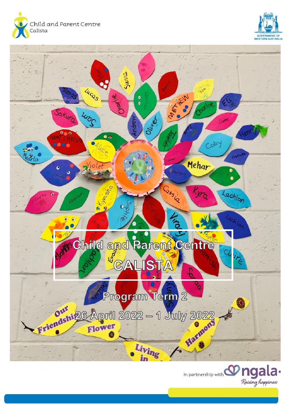





In partnership with  $\mathbf{w}$  ngala.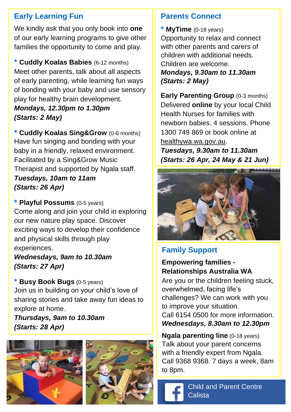## **Early Learning Fun**

We kindly ask that you only book into **one** of our early learning programs to give other families the opportunity to come and play.

**\* Cuddly Koalas Babies** (6-12 months) Meet other parents, talk about all aspects of early parenting, while learning fun ways of bonding with your baby and use sensory play for healthy brain development. *Mondays, 12.30pm to 1.30pm (Starts: 2 May)*

**\* Cuddly Koalas Sing&Grow** (0-6 months) Have fun singing and bonding with your baby in a friendly, relaxed environment. Facilitated by a Sing&Grow Music Therapist and supported by Ngala staff. *Tuesdays, 10am to 11am (Starts: 26 Apr)*

**\* Playful Possums** (0-5 years) Come along and join your child in exploring our new nature play space. Discover exciting ways to develop their confidence and physical skills through play experiences.

*Wednesdays, 9am to 10.30am (Starts: 27 Apr)*

**\* Busy Book Bugs** (0-5 years) Join us in building on your child's love of sharing stories and take away fun ideas to explore at home.

*Thursdays, 9am to 10.30am (Starts: 28 Apr)*





#### **Parents Connect**

**\* MyTime** (0-18 years) Opportunity to relax and connect with other parents and carers of children with additional needs. Children are welcome. *Mondays, 9.30am to 11.30am (Starts: 2 May)*

**Early Parenting Group** (0-3 months) Delivered **online** by your local Child Health Nurses for families with newborn babies. 4 sessions. Phone 1300 749 869 or book online at healthywa.wa.gov.au.

*Tuesdays, 9.30am to 11.30am (Starts: 26 Apr, 24 May & 21 Jun)*



## **Family Support**

#### **Empowering families - Relationships Australia WA**

Are you or the children feeling stuck, overwhelmed, facing life's challenges? We can work with you to improve your situation. Call 6154 0500 for more information. *Wednesdays, 8.30am to 12.30pm*

**Ngala parenting line** (0-18 years) Talk about your parent concerns with a friendly expert from Ngala. Call 9368 9368. 7 days a week, 8am to 8pm.

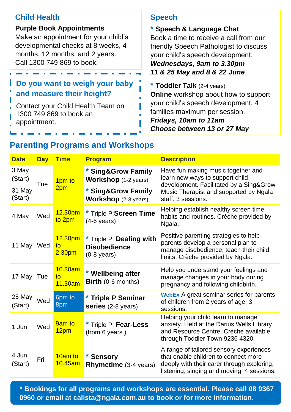| <b>Child Health</b>                                                                                                                                                            | <b>Speech</b>                                                                                                                                                                                            |  |
|--------------------------------------------------------------------------------------------------------------------------------------------------------------------------------|----------------------------------------------------------------------------------------------------------------------------------------------------------------------------------------------------------|--|
| <b>Purple Book Appointments</b><br>Make an appointment for your child's<br>developmental checks at 8 weeks, 4<br>months, 12 months, and 2 years.<br>Call 1300 749 869 to book. | * Speech & Language Chat<br>Book a time to receive a call from our<br>friendly Speech Pathologist to discuss<br>your child's speech development.<br>Wednesdays, 9am to 3.30pm                            |  |
|                                                                                                                                                                                | 11 & 25 May and 8 & 22 June                                                                                                                                                                              |  |
| Do you want to weigh your baby<br>and measure their height?<br>Contact your Child Health Team on<br>1300 749 869 to book an<br>appointment.                                    | * Toddler Talk (2-4 years)<br><b>Online</b> workshop about how to support<br>your child's speech development. 4<br>families maximum per session.<br>Fridays, 10am to 11am<br>Choose between 13 or 27 May |  |

## **Parenting Programs and Workshops**

| <b>Date</b>       | Day | <b>Time</b>                                     | <b>Program</b>                                                           | <b>Description</b>                                                                                                                                                               |
|-------------------|-----|-------------------------------------------------|--------------------------------------------------------------------------|----------------------------------------------------------------------------------------------------------------------------------------------------------------------------------|
| 3 May<br>(Start)  | Tue | 1 <sub>pm</sub> to                              | * Sing&Grow Family<br><b>Workshop</b> (1-2 years)                        | Have fun making music together and<br>learn new ways to support child<br>development. Facilitated by a Sing&Grow<br>Music Therapist and supported by Ngala<br>staff, 3 sessions. |
| 31 May<br>(Start) |     | 2 <sub>pm</sub>                                 | * Sing&Grow Family<br><b>Workshop</b> $(2-3 \text{ years})$              |                                                                                                                                                                                  |
| 4 May             | Wed | 12.30 <sub>pm</sub><br>to 2pm                   | * Triple P:Screen Time<br>$(4-6 \text{ years})$                          | Helping establish healthy screen time<br>habits and routines. Crèche provided by<br>Ngala.                                                                                       |
| 11 May            | Wed | 12.30 <sub>pm</sub><br>to<br>2.30 <sub>pm</sub> | * Triple P: Dealing with<br><b>Disobedience</b><br>$(0-8 \text{ years})$ | Positive parenting strategies to help<br>parents develop a personal plan to<br>manage disobedience, teach their child<br>limits. Crèche provided by Ngala.                       |
| 17 May            | Tue | 10.30am<br>$\mathsf{to}$<br>11.30am             | * Wellbeing after<br>Birth (0-6 months)                                  | Help you understand your feelings and<br>manage changes in your body during<br>pregnancy and following childbirth.                                                               |
| 25 May<br>(Start) | Wed | 6pm to<br>8pm                                   | * Triple P Seminar<br>series (2-8 years)                                 | <b>WebEx</b> A great seminar series for parents<br>of children from 2 years of age. 3<br>sessions.                                                                               |
| 1 Jun             | Wed | 9am to<br>12pm                                  | * Triple P: Fear-Less<br>(from 6 years)                                  | Helping your child learn to manage<br>anxiety. Held at the Darius Wells Library<br>and Resource Centre. Crèche available<br>through Toddler Town 9236 4320.                      |
| 4 Jun<br>(Start)  | Fri | 10am to<br>$10.45$ am                           | * Sensory<br><b>Rhymetime</b> (3-4 years)                                | A range of tailored sensory experiences<br>that enable children to connect more<br>deeply with their carer through exploring.<br>listening, singing and moving. 4 sessions.      |

**\* Bookings for all programs and workshops are essential. Please call 08 9367 0960 or email at [calista@ngala.com.au](mailto:calista@ngala.com.au) to book or for more information.**